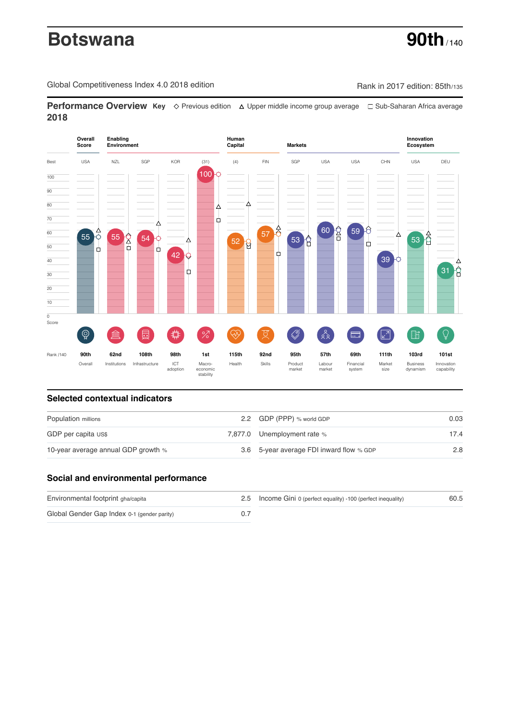# **Botswana 90th** / 140

Global Competitiveness Index 4.0 2018 edition Company Rank in 2017 edition: 85th/135

**Performance Overview Key** Previous edition Upper middle income group average Sub-Saharan Africa average **2018**



# **Selected contextual indicators**

| Population millions                 | 2.2 GDP (PPP) % world GDP                | 0.03 |  |
|-------------------------------------|------------------------------------------|------|--|
| GDP per capita US\$                 | 7,877.0 Unemployment rate %              | 17.4 |  |
| 10-year average annual GDP growth % | 3.6 5-year average FDI inward flow % GDP | 2.8  |  |

# **Social and environmental performance**

| Environmental footprint gha/capita          | 2.5 Income Gini 0 (perfect equality) -100 (perfect inequality) | 60.5 |
|---------------------------------------------|----------------------------------------------------------------|------|
| Global Gender Gap Index 0-1 (gender parity) |                                                                |      |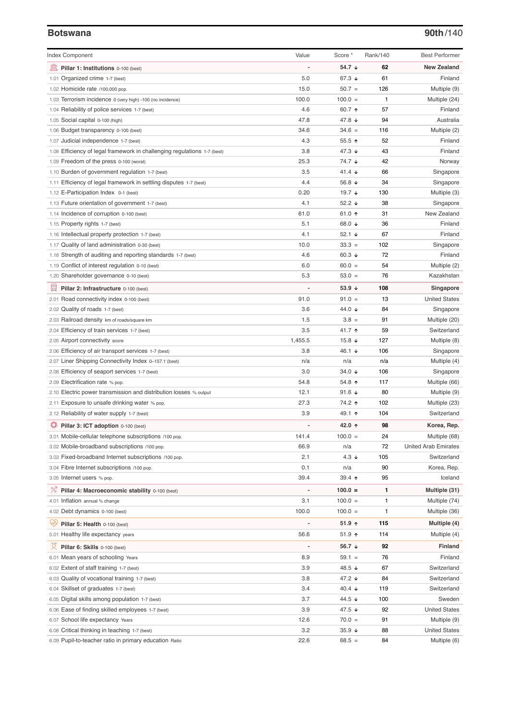### **Botswana 90th**/140

| <b>Index Component</b>                                                   | Value          | Score *           | Rank/140 | <b>Best Performer</b>        |
|--------------------------------------------------------------------------|----------------|-------------------|----------|------------------------------|
| 寙<br>Pillar 1: Institutions 0-100 (best)                                 |                | 54.7 ↓            | 62       | <b>New Zealand</b>           |
| 1.01 Organized crime 1-7 (best)                                          | 5.0            | 67.3 ↓            | 61       | Finland                      |
| 1.02 Homicide rate /100,000 pop.                                         | 15.0           | $50.7 =$          | 126      | Multiple (9)                 |
| 1.03 Terrorism incidence 0 (very high) -100 (no incidence)               | 100.0          | $100.0 =$         | 1        | Multiple (24)                |
| 1.04 Reliability of police services 1-7 (best)                           | 4.6            | 60.7 ↑            | 57       | Finland                      |
| 1.05 Social capital 0-100 (high)                                         | 47.8           | 47.8 ↓            | 94       | Australia                    |
| 1.06 Budget transparency 0-100 (best)                                    | 34.6           | $34.6 =$          | 116      | Multiple (2)                 |
| 1.07 Judicial independence 1-7 (best)                                    | 4.3            | $55.5$ ↑          | 52       | Finland                      |
| 1.08 Efficiency of legal framework in challenging regulations 1-7 (best) | 3.8            | 47.3 $\sqrt{ }$   | 43       | Finland                      |
| 1.09 Freedom of the press 0-100 (worst)                                  | 25.3           | 74.7 ↓            | 42       | Norway                       |
| 1.10 Burden of government regulation 1-7 (best)                          | 3.5            | 41.4 $\sqrt{ }$   | 66       | Singapore                    |
| 1.11 Efficiency of legal framework in settling disputes 1-7 (best)       | 4.4            | 56.8 $\sqrt{ }$   | 34       | Singapore                    |
| 1.12 E-Participation Index 0-1 (best)                                    | 0.20           | 19.7 $\sqrt{ }$   | 130      | Multiple (3)                 |
| 1.13 Future orientation of government 1-7 (best)                         | 4.1            | 52.2 $\sqrt{ }$   | 38       | Singapore                    |
| 1.14 Incidence of corruption 0-100 (best)                                | 61.0           | 61.0 $\uparrow$   | 31       | New Zealand                  |
| 1.15 Property rights 1-7 (best)                                          | 5.1            | 68.0 $\sqrt{ }$   | 36       | Finland                      |
| 1.16 Intellectual property protection 1-7 (best)                         | 4.1            | 52.1 $\sqrt{ }$   | 67       | Finland                      |
| 1.17 Quality of land administration 0-30 (best)                          | 10.0           | $33.3 =$          | 102      | Singapore                    |
| 1.18 Strength of auditing and reporting standards 1-7 (best)             | 4.6            | 60.3 $\sqrt{ }$   | 72       | Finland                      |
| 1.19 Conflict of interest regulation 0-10 (best)                         | 6.0            | $60.0 =$          | 54       | Multiple (2)                 |
| 1.20 Shareholder governance 0-10 (best)                                  | 5.3            | $53.0 =$          | 76       | Kazakhstan                   |
| 囩<br>Pillar 2: Infrastructure 0-100 (best)                               |                | 53.9 $\sqrt{ }$   | 108      | Singapore                    |
|                                                                          | 91.0           | $91.0 =$          | 13       | <b>United States</b>         |
| 2.01 Road connectivity index 0-100 (best)                                | 3.6            | 44.0 ↓            | 84       | Singapore                    |
| 2.02 Quality of roads 1-7 (best)                                         | 1.5            | $3.8 =$           | 91       |                              |
| 2.03 Railroad density km of roads/square km                              | 3.5            | 41.7 ተ            | 59       | Multiple (20)<br>Switzerland |
| 2.04 Efficiency of train services 1-7 (best)                             |                |                   |          |                              |
| 2.05 Airport connectivity score                                          | 1,455.5        | 15.8 $\sqrt{ }$   | 127      | Multiple (8)                 |
| 2.06 Efficiency of air transport services 1-7 (best)                     | 3.8            | 46.1 ↓            | 106      | Singapore                    |
| 2.07 Liner Shipping Connectivity Index 0-157.1 (best)                    | n/a            | n/a               | n/a      | Multiple (4)                 |
| 2.08 Efficiency of seaport services 1-7 (best)                           | 3.0            | 34.0 ↓            | 106      | Singapore                    |
| 2.09 Electrification rate % pop.                                         | 54.8           | 54.8 $\uparrow$   | 117      | Multiple (66)                |
| 2.10 Electric power transmission and distribution losses % output        | 12.1           | 91.6 $\sqrt{ }$   | 80       | Multiple (9)                 |
| 2.11 Exposure to unsafe drinking water % pop.                            | 27.3           | 74.2 ተ            | 102      | Multiple (23)                |
| 2.12 Reliability of water supply 1-7 (best)                              | 3.9            | 49.1 $\uparrow$   | 104      | Switzerland                  |
| Pillar 3: ICT adoption 0-100 (best)                                      |                | 42.0 ↑            | 98       | Korea, Rep.                  |
| 3.01 Mobile-cellular telephone subscriptions /100 pop.                   | 141.4          | $100.0 =$         | 24       | Multiple (68)                |
| 3.02 Mobile-broadband subscriptions /100 pop.                            | 66.9           | n/a               | 72       | <b>United Arab Emirates</b>  |
| 3.03 Fixed-broadband Internet subscriptions /100 pop.                    | 2.1            | $4.3 \downarrow$  | 105      | Switzerland                  |
| 3.04 Fibre Internet subscriptions /100 pop.                              | 0.1            | n/a               | 90       | Korea, Rep.                  |
| 3.05 Internet users % pop.                                               | 39.4           | $39.4$ 1          | 95       | Iceland                      |
| ℅<br>Pillar 4: Macroeconomic stability 0-100 (best)                      | $\overline{a}$ | $100.0 =$         | 1        | Multiple (31)                |
| 4.01 Inflation annual % change                                           | 3.1            | $100.0 =$         | 1        | Multiple (74)                |
| 4.02 Debt dynamics 0-100 (best)                                          | 100.0          | $100.0 =$         | 1        | Multiple (36)                |
| Qÿ<br>Pillar 5: Health 0-100 (best)                                      |                | $51.9$ ↑          | 115      | Multiple (4)                 |
| 5.01 Healthy life expectancy years                                       | 56.6           | 51.9 ↑            | 114      | Multiple (4)                 |
| 섯                                                                        | $\overline{a}$ | 56.7 $\downarrow$ | 92       | <b>Finland</b>               |
| Pillar 6: Skills 0-100 (best)                                            |                |                   |          |                              |
| 6.01 Mean years of schooling Years                                       | 8.9            | $59.1 =$          | 76       | Finland                      |
| 6.02 Extent of staff training 1-7 (best)                                 | 3.9            | 48.5 ↓            | 67       | Switzerland                  |
| 6.03 Quality of vocational training 1-7 (best)                           | 3.8            | 47.2 ↓            | 84       | Switzerland                  |
| 6.04 Skillset of graduates 1-7 (best)                                    | 3.4            | 40.4 ↓            | 119      | Switzerland                  |
| 6.05 Digital skills among population 1-7 (best)                          | 3.7            | 44.5 ↓            | 100      | Sweden                       |
| 6.06 Ease of finding skilled employees 1-7 (best)                        | 3.9            | 47.5 ↓            | 92       | <b>United States</b>         |
| 6.07 School life expectancy Years                                        | 12.6           | $70.0 =$          | 91       | Multiple (9)                 |
| 6.08 Critical thinking in teaching 1-7 (best)                            | 3.2            | $35.9 +$          | 88       | <b>United States</b>         |
| 6.09 Pupil-to-teacher ratio in primary education Ratio                   | 22.6           | $68.5 =$          | 84       | Multiple (6)                 |